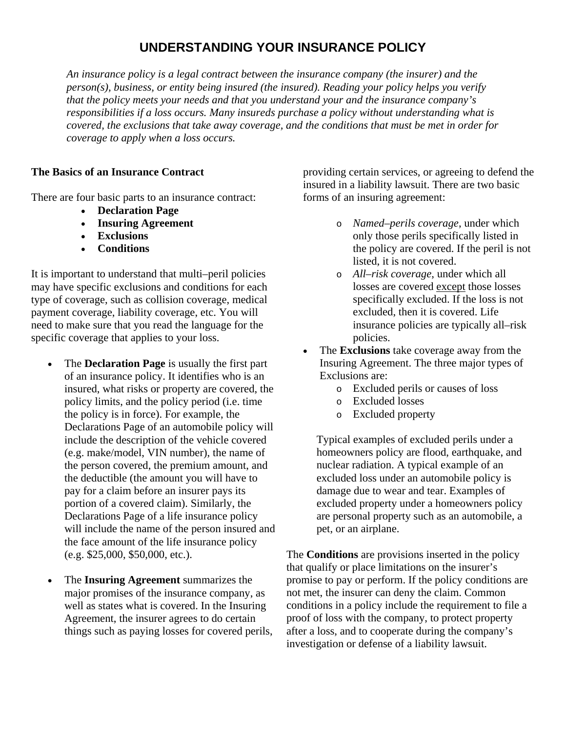# **UNDERSTANDING YOUR INSURANCE POLICY**

*An insurance policy is a legal contract between the insurance company (the insurer) and the person(s), business, or entity being insured (the insured). Reading your policy helps you verify that the policy meets your needs and that you understand your and the insurance company's responsibilities if a loss occurs. Many insureds purchase a policy without understanding what is covered, the exclusions that take away coverage, and the conditions that must be met in order for coverage to apply when a loss occurs.*

### **The Basics of an Insurance Contract**

There are four basic parts to an insurance contract:

- **Declaration Page**
- **Insuring Agreement**
- **Exclusions**
- **Conditions**

It is important to understand that multi–peril policies may have specific exclusions and conditions for each type of coverage, such as collision coverage, medical payment coverage, liability coverage, etc. You will need to make sure that you read the language for the specific coverage that applies to your loss.

- The **Declaration Page** is usually the first part of an insurance policy. It identifies who is an insured, what risks or property are covered, the policy limits, and the policy period (i.e. time the policy is in force). For example, the Declarations Page of an automobile policy will include the description of the vehicle covered (e.g. make/model, VIN number), the name of the person covered, the premium amount, and the deductible (the amount you will have to pay for a claim before an insurer pays its portion of a covered claim). Similarly, the Declarations Page of a life insurance policy will include the name of the person insured and the face amount of the life insurance policy (e.g. \$25,000, \$50,000, etc.).
- The **Insuring Agreement** summarizes the major promises of the insurance company, as well as states what is covered. In the Insuring Agreement, the insurer agrees to do certain things such as paying losses for covered perils,

providing certain services, or agreeing to defend the insured in a liability lawsuit. There are two basic forms of an insuring agreement:

- o *Named–perils coverage*, under which only those perils specifically listed in the policy are covered. If the peril is not listed, it is not covered.
- o *All–risk coverage*, under which all losses are covered except those losses specifically excluded. If the loss is not excluded, then it is covered. Life insurance policies are typically all–risk policies.
- The **Exclusions** take coverage away from the Insuring Agreement. The three major types of Exclusions are:
	- o Excluded perils or causes of loss
	- o Excluded losses
	- o Excluded property

Typical examples of excluded perils under a homeowners policy are flood, earthquake, and nuclear radiation. A typical example of an excluded loss under an automobile policy is damage due to wear and tear. Examples of excluded property under a homeowners policy are personal property such as an automobile, a pet, or an airplane.

The **Conditions** are provisions inserted in the policy that qualify or place limitations on the insurer's promise to pay or perform. If the policy conditions are not met, the insurer can deny the claim. Common conditions in a policy include the requirement to file a proof of loss with the company, to protect property after a loss, and to cooperate during the company's investigation or defense of a liability lawsuit.